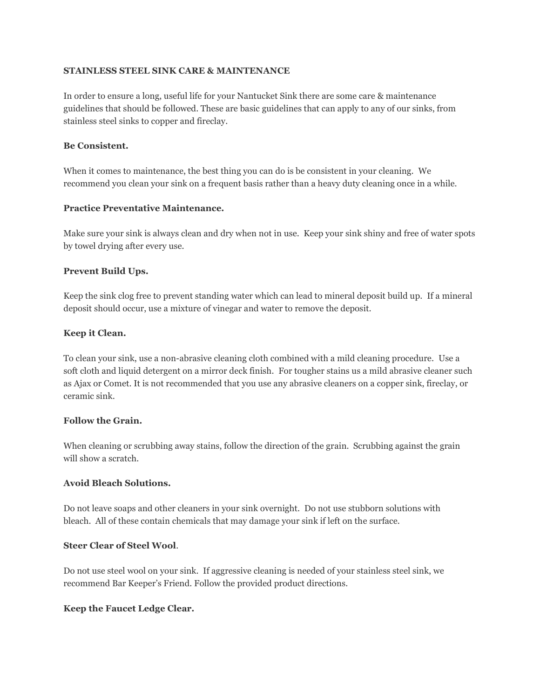## **STAINLESS STEEL SINK CARE & MAINTENANCE**

In order to ensure a long, useful life for your Nantucket Sink there are some care & maintenance guidelines that should be followed. These are basic guidelines that can apply to any of our sinks, from stainless steel sinks to copper and fireclay.

## **Be Consistent.**

When it comes to maintenance, the best thing you can do is be consistent in your cleaning. We recommend you clean your sink on a frequent basis rather than a heavy duty cleaning once in a while.

## **Practice Preventative Maintenance.**

Make sure your sink is always clean and dry when not in use. Keep your sink shiny and free of water spots by towel drying after every use.

## **Prevent Build Ups.**

Keep the sink clog free to prevent standing water which can lead to mineral deposit build up. If a mineral deposit should occur, use a mixture of vinegar and water to remove the deposit.

## **Keep it Clean.**

To clean your sink, use a non-abrasive cleaning cloth combined with a mild cleaning procedure. Use a soft cloth and liquid detergent on a mirror deck finish. For tougher stains us a mild abrasive cleaner such as Ajax or Comet. It is not recommended that you use any abrasive cleaners on a copper sink, fireclay, or ceramic sink.

#### **Follow the Grain.**

When cleaning or scrubbing away stains, follow the direction of the grain. Scrubbing against the grain will show a scratch.

#### **Avoid Bleach Solutions.**

Do not leave soaps and other cleaners in your sink overnight. Do not use stubborn solutions with bleach. All of these contain chemicals that may damage your sink if left on the surface.

#### **Steer Clear of Steel Wool**.

Do not use steel wool on your sink. If aggressive cleaning is needed of your stainless steel sink, we recommend Bar Keeper's Friend. Follow the provided product directions.

## **Keep the Faucet Ledge Clear.**